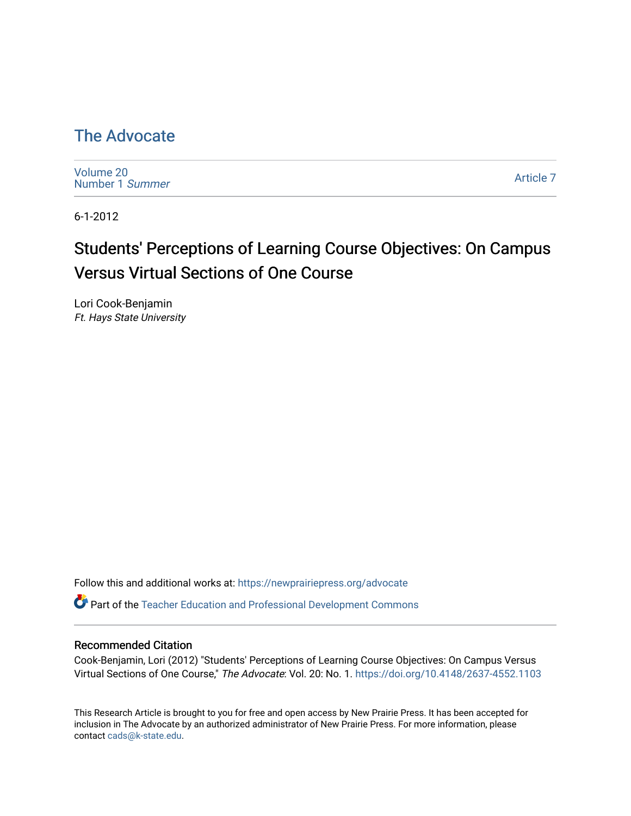# [The Advocate](https://newprairiepress.org/advocate)

[Volume 20](https://newprairiepress.org/advocate/vol20) [Number 1](https://newprairiepress.org/advocate/vol20/iss1) Summer

[Article 7](https://newprairiepress.org/advocate/vol20/iss1/7) 

6-1-2012

# Students' Perceptions of Learning Course Objectives: On Campus Versus Virtual Sections of One Course

Lori Cook-Benjamin Ft. Hays State University

Follow this and additional works at: [https://newprairiepress.org/advocate](https://newprairiepress.org/advocate?utm_source=newprairiepress.org%2Fadvocate%2Fvol20%2Fiss1%2F7&utm_medium=PDF&utm_campaign=PDFCoverPages) 

Part of the [Teacher Education and Professional Development Commons](http://network.bepress.com/hgg/discipline/803?utm_source=newprairiepress.org%2Fadvocate%2Fvol20%2Fiss1%2F7&utm_medium=PDF&utm_campaign=PDFCoverPages) 

# Recommended Citation

Cook-Benjamin, Lori (2012) "Students' Perceptions of Learning Course Objectives: On Campus Versus Virtual Sections of One Course," The Advocate: Vol. 20: No. 1. <https://doi.org/10.4148/2637-4552.1103>

This Research Article is brought to you for free and open access by New Prairie Press. It has been accepted for inclusion in The Advocate by an authorized administrator of New Prairie Press. For more information, please contact [cads@k-state.edu](mailto:cads@k-state.edu).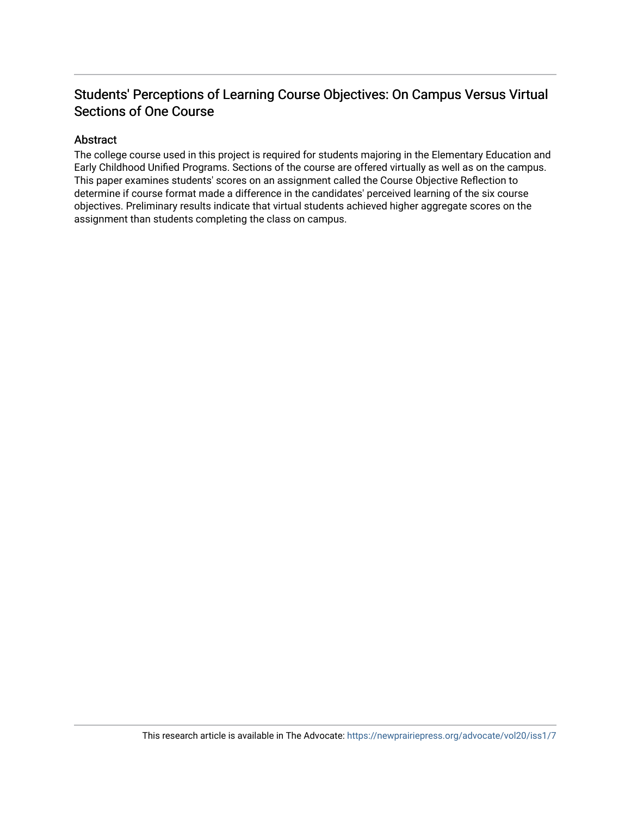# Students' Perceptions of Learning Course Objectives: On Campus Versus Virtual Sections of One Course

# Abstract

The college course used in this project is required for students majoring in the Elementary Education and Early Childhood Unified Programs. Sections of the course are offered virtually as well as on the campus. This paper examines students' scores on an assignment called the Course Objective Reflection to determine if course format made a difference in the candidates' perceived learning of the six course objectives. Preliminary results indicate that virtual students achieved higher aggregate scores on the assignment than students completing the class on campus.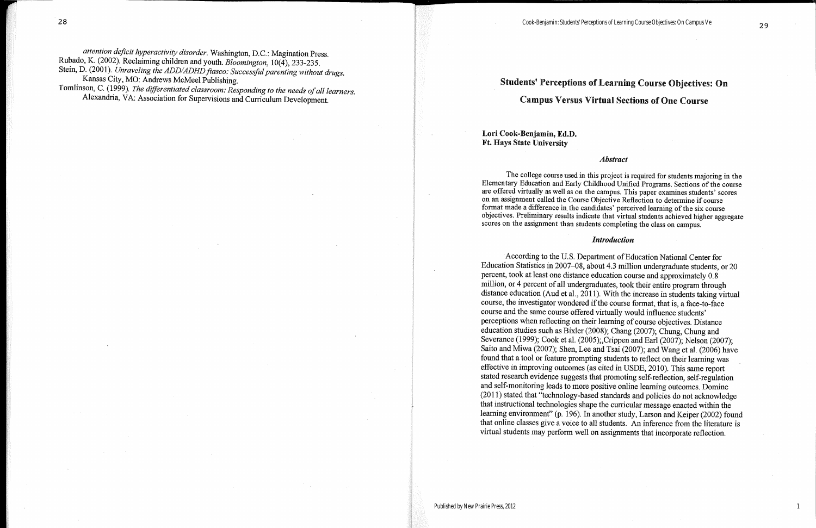# **Students' Perceptions of Learning Course Objectives: On Campus Versus Virtual Sections of One Course**

# Lori Cook-Benjamin, Ed.D. **Ft. Hays State University**

#### **Abstract**

The college course used in this project is required for students majoring in the Elementary Education and Early Childhood Unified Programs. Sections of the course are offered virtually as well as on the campus. This paper examines students' scores on an assignment called the Course Objective Reflection to determine if course format made a difference in the candidates' perceived learning of the six course objectives. Preliminary results indicate that virtual students achieved higher aggregate scores on the assignment than students completing the class on campus.

#### **Introduction**

According to the U.S. Department of Education National Center for Education Statistics in 2007–08, about 4.3 million undergraduate students, or 20 percent, took at least one distance education course and approximately 0.8 million, or 4 percent of all undergraduates, took their entire program through distance education (Aud et al., 2011). With the increase in students taking virtual course, the investigator wondered if the course format, that is, a face-to-face course and the same course offered virtually would influence students' perceptions when reflecting on their learning of course objectives. Distance education studies such as Bixler (2008); Chang (2007); Chung, Chung and Severance (1999); Cook et al. (2005); Crippen and Earl (2007); Nelson (2007); Saito and Miwa (2007); Shen, Lee and Tsai (2007); and Wang et al. (2006) have found that a tool or feature prompting students to reflect on their learning was effective in improving outcomes (as cited in USDE, 2010). This same report stated research evidence suggests that promoting self-reflection, self-regulation and self-monitoring leads to more positive online learning outcomes. Domine (2011) stated that "technology-based standards and policies do not acknowledge that instructional technologies shape the curricular message enacted within the learning environment" (p. 196). In another study, Larson and Keiper (2002) found that online classes give a voice to all students. An inference from the literature is virtual students may perform well on assignments that incorporate reflection.

1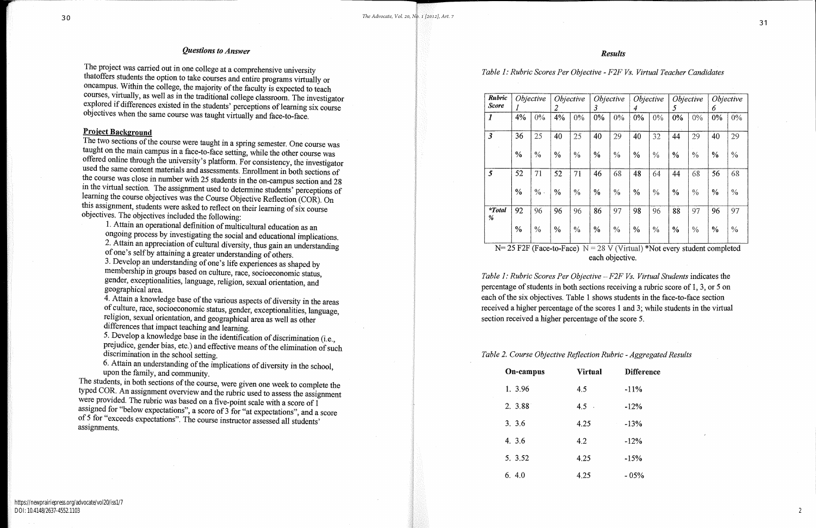### **Questions to Answer**

The project was carried out in one college at a comprehensive university that<br>offers students the option to take courses and entire programs virtually or oncampus. Within the college, the majority of the faculty is expected to teach courses, virtually, as well as in the traditional college classroom. The investigator explored if differences existed in the students' perceptions of learning six course objectives when the same course was taught virtually and face-to-face.

# **Project Background**

The two sections of the course were taught in a spring semester. One course was taught on the main campus in a face-to-face setting, while the other course was offered online through the university's platform. For consistency, the investigator used the same content materials and assessments. Enrollment in both sections of the course was close in number with 25 students in the on-campus section and 28 in the virtual section. The assignment used to determine students' perceptions of learning the course objectives was the Course Objective Reflection (COR). On this assignment, students were asked to reflect on their learning of six course objectives. The objectives included the following:

1. Attain an operational definition of multicultural education as an ongoing process by investigating the social and educational implications. 2. Attain an appreciation of cultural diversity, thus gain an understanding of one's self by attaining a greater understanding of others.

3. Develop an understanding of one's life experiences as shaped by membership in groups based on culture, race, socioeconomic status, gender, exceptionalities, language, religion, sexual orientation, and geographical area.

4. Attain a knowledge base of the various aspects of diversity in the areas of culture, race, socioeconomic status, gender, exceptionalities, language, religion, sexual orientation, and geographical area as well as other differences that impact teaching and learning.

5. Develop a knowledge base in the identification of discrimination (i.e., prejudice, gender bias, etc.) and effective means of the elimination of such discrimination in the school setting.

6. Attain an understanding of the implications of diversity in the school, upon the family, and community.

The students, in both sections of the course, were given one week to complete the typed COR. An assignment overview and the rubric used to assess the assignment were provided. The rubric was based on a five-point scale with a score of  $1$ assigned for "below expectations", a score of 3 for "at expectations", and a score of 5 for "exceeds expectations". The course instructor assessed all students' assignments.

Table 1: Rubric Scores Per Objective - F2F Vs. Virtual Teacher Candidates

| <b>Rubric</b><br><b>Score</b>                                                                    | <i>Objective</i> |        | <i>Objective</i><br>2 |               | <i>Objective</i><br>3 |               | Objective<br>4 |               | <i>Objective</i><br>5 |               | <i>Objective</i><br>6 |               |
|--------------------------------------------------------------------------------------------------|------------------|--------|-----------------------|---------------|-----------------------|---------------|----------------|---------------|-----------------------|---------------|-----------------------|---------------|
| $\boldsymbol{I}$                                                                                 | 4%               | $0\%$  | 4%                    | $0\%$         | 0%                    | $0\%$         | 0%             | $0\%$         | 0%                    | $0\%$         | $0\%$                 | 0%            |
| $\mathfrak{z}$                                                                                   | 36               | 25     | 40                    | 25            | 40                    | 29            | 40             | 32            | 44                    | 29            | 40                    | 29            |
|                                                                                                  | $\frac{0}{0}$    | $\%$   | $\frac{0}{0}$         | $\frac{0}{0}$ | $\%$                  | $\frac{0}{0}$ | $\frac{0}{0}$  | $\frac{0}{0}$ | $\frac{0}{0}$         | $\%$          | $\%$                  | $\frac{0}{0}$ |
| $\boldsymbol{5}$                                                                                 | 52               | 71     | 52                    | 71            | 46                    | 68            | 48             | 64            | 44                    | 68            | 56                    | 68            |
|                                                                                                  | $\frac{0}{0}$    | $\%$ . | $\frac{0}{0}$         | $\frac{0}{0}$ | $\frac{0}{0}$         | $\frac{0}{0}$ | $\frac{0}{0}$  | $\frac{0}{0}$ | $\%$                  | $\frac{0}{0}$ | $\%$                  | $\frac{0}{0}$ |
| *Total<br>%                                                                                      | 92               | 96     | 96                    | 96            | 86                    | 97            | 98             | 96            | 88                    | 97            | 96                    | 97            |
|                                                                                                  | $\%$             | $\%$   | $\%$                  | $\%$          | $\frac{0}{0}$         | $\frac{0}{0}$ | $\frac{0}{0}$  | $\%$          | $\%$                  | $\frac{0}{0}$ | $\%$                  | $\frac{0}{0}$ |
| $N = 25$ F2F (Face-to-Face) $N = 28$ V (Virtual) *Not every student completed<br>aaab ahiaatirra |                  |        |                       |               |                       |               |                |               |                       |               |                       |               |

Table 1: Rubric Scores Per Objective - F2F Vs. Virtual Students indicates the percentage of students in both sections receiving a rubric score of 1, 3, or 5 on each of the six objectives. Table 1 shows students in the face-to-face section received a higher percentage of the scores 1 and 3; while students in the virtual section received a higher percentage of the score 5.

### Table 2. Course Objective Reflection Rubric - Aggregated Results

| On-campus | Virtua |
|-----------|--------|
| 1.3.96    | 4.5    |
| 2.3.88    | 4.5    |
| 3.3.6     | 4.25   |
| 4.3.6     | 4.2    |
| 5. 3.52   | 4.25   |
| 6.4.0     | 4.25   |

# **Results**

each objective.

| ıal                      | <b>Difference</b>          |
|--------------------------|----------------------------|
|                          | $-11%$                     |
| $\ddot{\phantom{1}}$     | $-12%$                     |
| $\mathcal{L}_{\rm{max}}$ | $-13%$                     |
|                          | $\boldsymbol{J}$<br>$-12%$ |
|                          | $-15%$                     |
|                          | $-05%$                     |
|                          |                            |